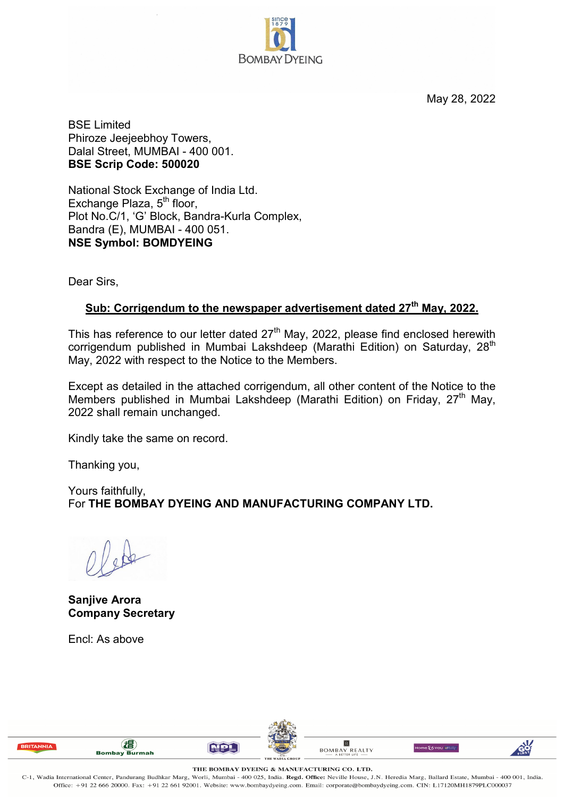

May 28, 2022

BSE Limited Phiroze Jeejeebhoy Towers, Dalal Street, MUMBAI - 400 001. **BSE Scrip Code: 500020**

National Stock Exchange of India Ltd. Exchange Plaza,  $5<sup>th</sup>$  floor, Plot No.C/1, 'G' Block, Bandra-Kurla Complex, Bandra (E), MUMBAI - 400 051. **NSE Symbol: BOMDYEING**

Dear Sirs,

## **Sub: Corrigendum to the newspaper advertisement dated 27th May, 2022.**

This has reference to our letter dated  $27<sup>th</sup>$  May, 2022, please find enclosed herewith corrigendum published in Mumbai Lakshdeep (Marathi Edition) on Saturday, 28<sup>th</sup> May, 2022 with respect to the Notice to the Members.

Except as detailed in the attached corrigendum, all other content of the Notice to the Members published in Mumbai Lakshdeep (Marathi Edition) on Friday, 27<sup>th</sup> May, 2022 shall remain unchanged.

Kindly take the same on record.

Thanking you,

Yours faithfully, For **THE BOMBAY DYEING AND MANUFACTURING COMPANY LTD.**

**Sanjive Arora Company Secretary**

Encl: As above





**NPL** 

 $\boxed{\mathsf{B}}$ 

**BOMBAY REALTY** 

Home E6 You Idone